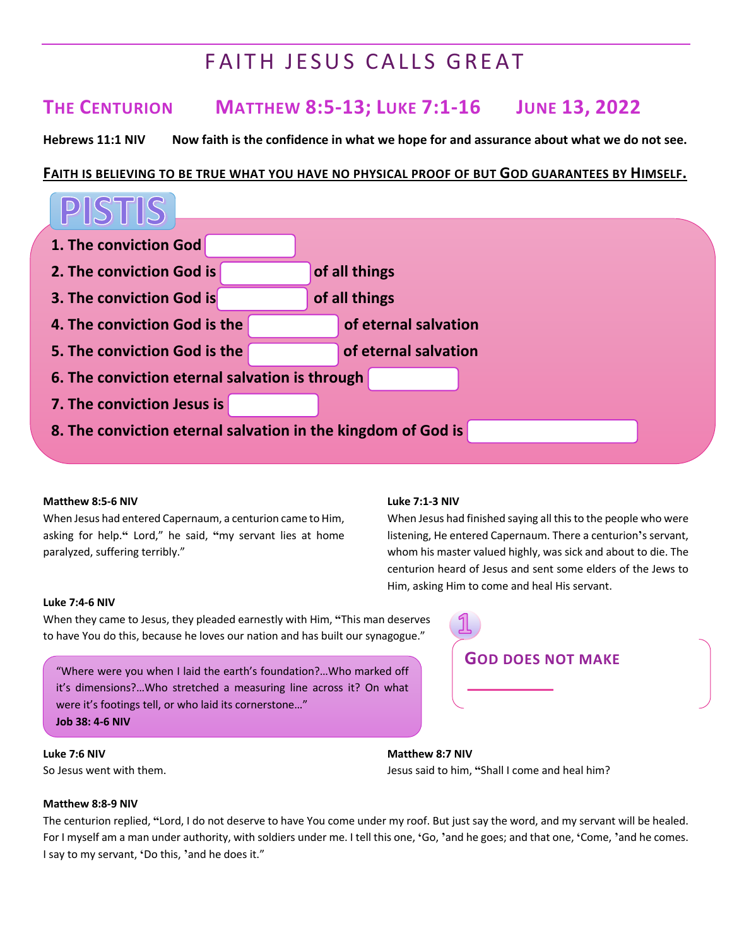## FAITH JESUS CALLS GREAT

### **THE CENTURION MATTHEW 8:5-13; LUKE 7:1-16 JUNE 13, 2022**

Hebrews 11:1 NIV Now faith is the confidence in what we hope for and assurance about what we do not see.

#### **FAITH IS BELIEVING TO BE TRUE WHAT YOU HAVE NO PHYSICAL PROOF OF BUT GOD GUARANTEES BY HIMSELF.**



#### **Matthew 8:5-6 NIV**

When Jesus had entered Capernaum, a centurion came to Him, asking for help.**"** Lord," he said, **"**my servant lies at home paralyzed, suffering terribly."

#### **Luke 7:1-3 NIV**

When Jesus had finished saying all this to the people who were listening, He entered Capernaum. There a centurion**'**s servant, whom his master valued highly, was sick and about to die. The centurion heard of Jesus and sent some elders of the Jews to Him, asking Him to come and heal His servant.

#### **Luke 7:4-6 NIV**

When they came to Jesus, they pleaded earnestly with Him, **"**This man deserves to have You do this, because he loves our nation and has built our synagogue."

it's dimensions?…Who stretched a measuring line across it? On what were it's footings tell, or who laid its cornerstone…" **Job 38: 4-6 NIV**

# **GOD DOES NOT MAKE** "Where were you when I laid the earth's foundation?…Who marked off

**Luke 7:6 NIV** So Jesus went with them.

**Matthew 8:7 NIV** Jesus said to him, **"**Shall I come and heal him?

#### **Matthew 8:8-9 NIV**

The centurion replied, **"**Lord, I do not deserve to have You come under my roof. But just say the word, and my servant will be healed. For I myself am a man under authority, with soldiers under me. I tell this one, **'**Go, **'** and he goes; and that one, **'**Come, **'** and he comes. I say to my servant, **'**Do this, **'** and he does it."